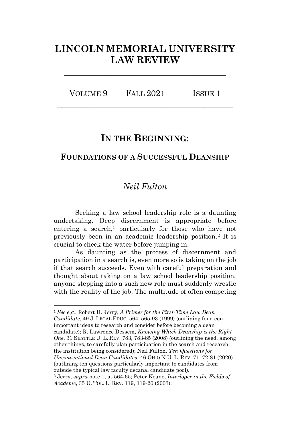# **LINCOLN MEMORIAL UNIVERSITY LAW REVIEW**

**\_\_\_\_\_\_\_\_\_\_\_\_\_\_\_\_\_\_\_\_\_\_\_\_\_\_\_\_\_\_\_\_\_\_**

VOLUME 9 FALL 2021 ISSUE 1 **\_\_\_\_\_\_\_\_\_\_\_\_\_\_\_\_\_\_\_\_\_\_\_\_\_\_\_\_\_\_\_\_\_\_\_\_\_**

# **IN THE BEGINNING**:

# **FOUNDATIONS OF A SUCCESSFUL DEANSHIP**

# <span id="page-0-1"></span><span id="page-0-0"></span>*Neil Fulton*

Seeking a law school leadership role is a daunting undertaking. Deep discernment is appropriate before entering a search, <sup>1</sup> particularly for those who have not previously been in an academic leadership position.<sup>2</sup> It is crucial to check the water before jumping in.

As daunting as the process of discernment and participation in a search is, even more so is taking on the job if that search succeeds. Even with careful preparation and thought about taking on a law school leadership position, anyone stepping into a such new role must suddenly wrestle with the reality of the job. The multitude of often competing

<sup>1</sup> *See e.g.*, Robert H. Jerry, *A Primer for the First-Time Law Dean Candidate*, 49 J. LEGAL EDUC. 564, 565-93 (1999) (outlining fourteen important ideas to research and consider before becoming a dean candidate); R. Lawrence Dessem, *Knowing Which Deanship is the Right One*, 31 SEATTLE U. L. REV. 783, 783-85 (2008) (outlining the need, among other things, to carefully plan participation in the search and research the institution being considered); Neil Fulton, *Ten Questions for Unconventional Dean Candidates*, 46 OHIO N.U. L. REV. 71, 72-81 (2020) (outlining ten questions particularly important to candidates from outside the typical law faculty decanal candidate pool). <sup>2</sup> Jerry, *supra* note [1,](#page-0-0) at 564-65; Peter Keane, *Interloper in the Fields of* 

*Academe*, 35 U. TOL. L. REV. 119, 119-20 (2003).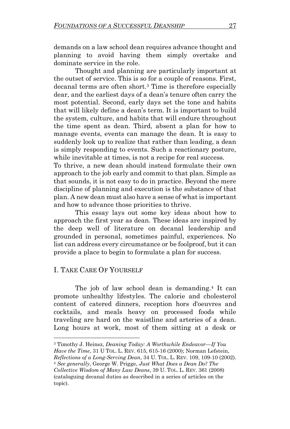demands on a law school dean requires advance thought and planning to avoid having them simply overtake and dominate service in the role.

Thought and planning are particularly important at the outset of service. This is so for a couple of reasons. First, decanal terms are often short.<sup>3</sup> Time is therefore especially dear, and the earliest days of a dean's tenure often carry the most potential. Second, early days set the tone and habits that will likely define a dean's term. It is important to build the system, culture, and habits that will endure throughout the time spent as dean. Third, absent a plan for how to manage events, events can manage the dean. It is easy to suddenly look up to realize that rather than leading, a dean is simply responding to events. Such a reactionary posture, while inevitable at times, is not a recipe for real success.

To thrive, a new dean should instead formulate their own approach to the job early and commit to that plan. Simple as that sounds, it is not easy to do in practice. Beyond the mere discipline of planning and execution is the substance of that plan. A new dean must also have a sense of what is important and how to advance those priorities to thrive.

This essay lays out some key ideas about how to approach the first year as dean. These ideas are inspired by the deep well of literature on decanal leadership and grounded in personal, sometimes painful, experiences. No list can address every circumstance or be foolproof, but it can provide a place to begin to formulate a plan for success.

# I. TAKE CARE OF YOURSELF

<span id="page-1-0"></span>The job of law school dean is demanding.<sup>4</sup> It can promote unhealthy lifestyles. The calorie and cholesterol content of catered dinners, reception hors d'oeuvres and cocktails, and meals heavy on processed foods while traveling are hard on the waistline and arteries of a dean. Long hours at work, most of them sitting at a desk or

<sup>3</sup> Timothy J. Heinsz, *Deaning Today: A Worthwhile Endeavor—If You* 

*Have the Time*, 31 U TOL. L. REV. 615, 615-16 (2000); Norman Lefstein,

*Reflections of a Long-Serving Dean*, 34 U. TOL. L. REV. 109, 109-10 (2002). <sup>4</sup> *See generally*, George W. Prigge, *Just What Does a Dean Do? The* 

*Collective Wisdom of Many Law Deans*, 39 U. TOL. L. REV. 361 (2008) (cataloguing decanal duties as described in a series of articles on the topic).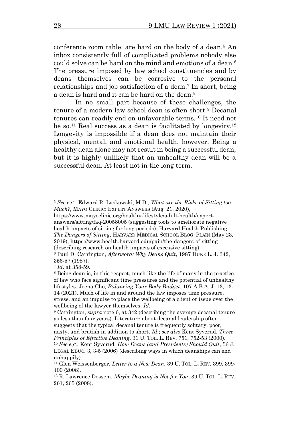<span id="page-2-0"></span>conference room table, are hard on the body of a dean.<sup>5</sup> An inbox consistently full of complicated problems nobody else could solve can be hard on the mind and emotions of a dean.<sup>6</sup> The pressure imposed by law school constituencies and by deans themselves can be corrosive to the personal relationships and job satisfaction of a dean. <sup>7</sup> In short, being a dean is hard and it can be hard on the dean.<sup>8</sup>

<span id="page-2-3"></span><span id="page-2-2"></span><span id="page-2-1"></span>In no small part because of these challenges, the tenure of a modern law school dean is often short.<sup>9</sup> Decanal tenures can readily end on unfavorable terms.<sup>10</sup> It need not be so.<sup>11</sup> Real success as a dean is facilitated by longevity.<sup>12</sup> Longevity is impossible if a dean does not maintain their physical, mental, and emotional health, however. Being a healthy dean alone may not result in being a successful dean, but it is highly unlikely that an unhealthy dean will be a successful dean. At least not in the long term.

<sup>5</sup> *See e.g.*, Edward R. Laskowski, M.D., *What are the Risks of Sitting too Much?*, MAYO CLINIC: EXPERT ANSWERS (Aug. 21, 2020),

[https://www.mayoclinic.org/healthy-lifestyle/adult-health/expert](https://www.mayoclinic.org/healthy-lifestyle/adult-health/expert-answers/sitting/faq-20058005)[answers/sitting/faq-20058005](https://www.mayoclinic.org/healthy-lifestyle/adult-health/expert-answers/sitting/faq-20058005) (suggesting tools to ameliorate negative health impacts of sitting for long periods); Harvard Health Publishing, *The Dangers of Sitting*, HARVARD MEDICAL SCHOOL BLOG: PLAIN (May 23, 2019),<https://www.health.harvard.edu/pain/the-dangers-of-sitting> (describing research on health impacts of excessive sitting).

<sup>6</sup> Paul D. Carrington, *Afterword: Why Deans Quit*, 1987 DUKE L. J. 342, 356-57 (1987).

<sup>7</sup> *Id*. at 358-59.

<sup>8</sup> Being dean is, in this respect, much like the life of many in the practice of law who face significant time pressures and the potential of unhealthy lifestyles. Jeena Cho, *Balancing Your Body Budget*, 107 A.B.A. J. 13, 13- 14 (2021). Much of life in and around the law imposes time pressure, stress, and an impulse to place the wellbeing of a client or issue over the

wellbeing of the lawyer themselves. *Id*. <sup>9</sup> Carrington, *supra* note [6,](#page-2-0) at 342 (describing the average decanal tenure as less than four years). Literature about decanal leadership often

suggests that the typical decanal tenure is frequently solitary, poor, nasty, and brutish in addition to short. *Id*.; *see also* Kent Syverud, *Three Principles of Effective Deaning*, 31 U. TOL. L. REV. 751, 752-53 (2000).

<sup>10</sup> *See e.g.*, Kent Syverud, *How Deans (and Presidents) Should Quit*, 56 J. LEGAL EDUC. 3, 3-5 (2006) (describing ways in which deanships can end unhappily).

<sup>11</sup> Glen Weissenberger, *Letter to a New Dean*, 39 U. TOL. L. REV. 399, 399- 400 (2008).

<sup>12</sup> R. Lawrence Dessem, *Maybe Deaning is Not for You*, 39 U. TOL. L. REV. 261, 265 (2008).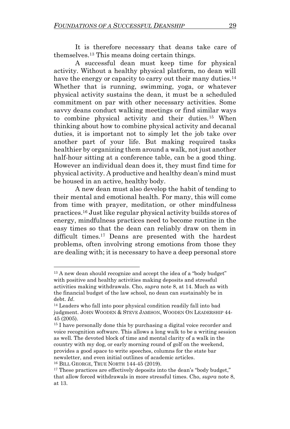<span id="page-3-0"></span>It is therefore necessary that deans take care of themselves. <sup>13</sup> This means doing certain things.

<span id="page-3-2"></span>A successful dean must keep time for physical activity. Without a healthy physical platform, no dean will have the energy or capacity to carry out their many duties.<sup>14</sup> Whether that is running, swimming, yoga, or whatever physical activity sustains the dean, it must be a scheduled commitment on par with other necessary activities. Some savvy deans conduct walking meetings or find similar ways to combine physical activity and their duties.<sup>15</sup> When thinking about how to combine physical activity and decanal duties, it is important not to simply let the job take over another part of your life. But making required tasks healthier by organizing them around a walk, not just another half-hour sitting at a conference table, can be a good thing. However an individual dean does it, they must find time for physical activity. A productive and healthy dean's mind must be housed in an active, healthy body.

<span id="page-3-1"></span>A new dean must also develop the habit of tending to their mental and emotional health. For many, this will come from time with prayer, meditation, or other mindfulness practices.<sup>16</sup> Just like regular physical activity builds stores of energy, mindfulness practices need to become routine in the easy times so that the dean can reliably draw on them in difficult times.<sup>17</sup> Deans are presented with the hardest problems, often involving strong emotions from those they are dealing with; it is necessary to have a deep personal store

<sup>&</sup>lt;sup>13</sup> A new dean should recognize and accept the idea of a "body budget" with positive and healthy activities making deposits and stressful activities making withdrawals. Cho, *supra* note [8,](#page-2-1) at 14. Much as with the financial budget of the law school, no dean can sustainably be in debt. *Id*.

<sup>&</sup>lt;sup>14</sup> Leaders who fall into poor physical condition readily fall into bad judgment. JOHN WOODEN & STEVE JAMISON, WOODEN ON LEADERSHIP 44- 45 (2005).

<sup>&</sup>lt;sup>15</sup> I have personally done this by purchasing a digital voice recorder and voice recognition software. This allows a long walk to be a writing session as well. The devoted block of time and mental clarity of a walk in the country with my dog, or early morning round of golf on the weekend, provides a good space to write speeches, columns for the state bar newsletter, and even initial outlines of academic articles. <sup>16</sup> BILL GEORGE, TRUE NORTH 144-45 (2019).

<sup>&</sup>lt;sup>17</sup> These practices are effectively deposits into the dean's "body budget," that allow forced withdrawals in more stressful times. Cho, *supra* note [8,](#page-2-1) at [13.](#page-3-0)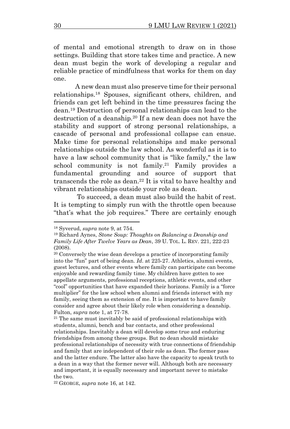of mental and emotional strength to draw on in those settings. Building that store takes time and practice. A new dean must begin the work of developing a regular and reliable practice of mindfulness that works for them on day one.

<span id="page-4-0"></span>A new dean must also preserve time for their personal relationships.<sup>18</sup> Spouses, significant others, children, and friends can get left behind in the time pressures facing the dean.<sup>19</sup> Destruction of personal relationships can lead to the destruction of a deanship.<sup>20</sup> If a new dean does not have the stability and support of strong personal relationships, a cascade of personal and professional collapse can ensue. Make time for personal relationships and make personal relationships outside the law school. As wonderful as it is to have a law school community that is "like family," the law school community is not family.<sup>21</sup> Family provides a fundamental grounding and source of support that transcends the role as dean.<sup>22</sup> It is vital to have healthy and vibrant relationships outside your role as dean.

To succeed, a dean must also build the habit of rest. It is tempting to simply run with the throttle open because "that's what the job requires." There are certainly enough

<sup>22</sup> GEORGE, *supra* note [16,](#page-3-1) at 142.

<sup>18</sup> Syverud, *supra* not[e 9,](#page-2-2) at 754.

<sup>19</sup> Richard Aynes, *Stone Soup: Thoughts on Balancing a Deanship and Family Life After Twelve Years as Dean*, 39 U. TOL. L. REV. 221, 222-23 (2008).

<sup>20</sup> Conversely the wise dean develops a practice of incorporating family into the "fun" part of being dean. *Id*. at 225-27. Athletics, alumni events, guest lectures, and other events where family can participate can become enjoyable and rewarding family time. My children have gotten to see appellate arguments, professional receptions, athletic events, and other "cool" opportunities that have expanded their horizons. Family is a "force multiplier" for the law school when alumni and friends interact with my family, seeing them as extension of me. It is important to have family consider and agree about their likely role when considering a deanship. Fulton, *supra* not[e 1,](#page-0-1) at 77-78.

<sup>21</sup> The same must inevitably be said of professional relationships with students, alumni, bench and bar contacts, and other professional relationships. Inevitably a dean will develop some true and enduring friendships from among these groups. But no dean should mistake professional relationships of necessity with true connections of friendship and family that are independent of their role as dean. The former pass and the latter endure. The latter also have the capacity to speak truth to a dean in a way that the former never will. Although both are necessary and important, it is equally necessary and important never to mistake the two.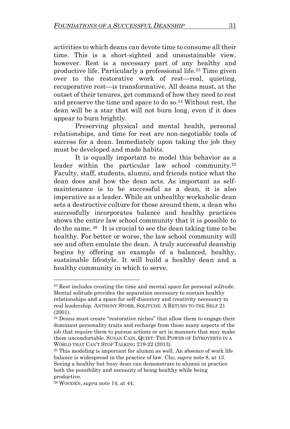activities to which deans can devote time to consume all their time. This is a short-sighted and unsustainable view, however. Rest is a necessary part of any healthy and productive life. Particularly a professional life.<sup>23</sup> Time given over to the restorative work of rest—real, quieting, recuperative rest—is transformative. All deans must, at the outset of their tenures, get command of how they need to rest and preserve the time and space to do so.<sup>24</sup> Without rest, the dean will be a star that will not burn long, even if it does appear to burn brightly.

<span id="page-5-0"></span>Preserving physical and mental health, personal relationships, and time for rest are non-negotiable tools of success for a dean. Immediately upon taking the job they must be developed and made habits.

It is equally important to model this behavior as a leader within the particular law school community.<sup>25</sup> Faculty, staff, students, alumni, and friends notice what the dean does and how the dean acts. As important as selfmaintenance is to be successful as a dean, it is also imperative as a leader. While an unhealthy workaholic dean sets a destructive culture for those around them, a dean who successfully incorporates balance and healthy practices shows the entire law school community that it is possible to do the same. 26 It is crucial to see the dean taking time to be healthy. For better or worse, the law school community will see and often emulate the dean. A truly successful deanship begins by offering an example of a balanced, healthy, sustainable lifestyle. It will build a healthy dean and a healthy community in which to serve.

<sup>23</sup> Rest includes creating the time and mental space for personal solitude. Mental solitude provides the separation necessary to sustain healthy relationships and a space for self-discovery and creativity necessary to real leadership. ANTHONY STORR, SOLITUDE: A RETURN TO THE SELF 21 (2001).

<sup>24</sup> Deans must create "restorative niches" that allow them to engage their dominant personality traits and recharge from those many aspects of the job that require them to pursue actions or act in manners that may make them uncomfortable. SUSAN CAIN, QUIET: THE POWER OF INTROVERTS IN A WORLD THAT CAN'T STOP TALKING 219-22 (2013).

<sup>25</sup> This modeling is important for alumni as well. An absence of work life balance is widespread in the practice of law. Cho, *supra* not[e 8,](#page-2-1) at 13. Seeing a healthy but busy dean can demonstrate to alumni in practice both the possibility and necessity of being healthy while being productive.

<sup>26</sup> WOODEN, *supra* not[e 14,](#page-3-2) at 44.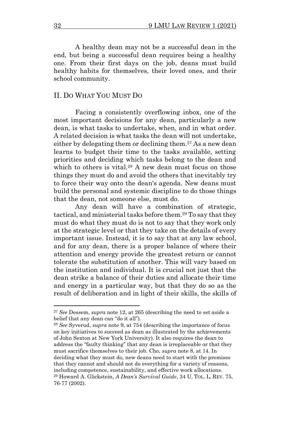A healthy dean may not be a successful dean in the end, but being a successful dean requires being a healthy one. From their first days on the job, deans must build healthy habits for themselves, their loved ones, and their school community.

#### II. DO WHAT YOU MUST DO

<span id="page-6-0"></span>Facing a consistently overflowing inbox, one of the most important decisions for any dean, particularly a new dean, is what tasks to undertake, when, and in what order. A related decision is what tasks the dean will not undertake, either by delegating them or declining them.<sup>27</sup> As a new dean learns to budget their time to the tasks available, setting priorities and deciding which tasks belong to the dean and which to others is vital.<sup>28</sup> A new dean must focus on those things they must do and avoid the others that inevitably try to force their way onto the dean's agenda. New deans must build the personal and systemic discipline to do those things that the dean, not someone else, must do.

<span id="page-6-1"></span>Any dean will have a combination of strategic, tactical, and ministerial tasks before them.<sup>29</sup> To say that they must do what they must do is not to say that they work only at the strategic level or that they take on the details of every important issue. Instead, it is to say that at any law school, and for any dean, there is a proper balance of where their attention and energy provide the greatest return or cannot tolerate the substitution of another. This will vary based on the institution and individual. It is crucial not just that the dean strike a balance of their duties and allocate their time and energy in a particular way, but that they do so as the result of deliberation and in light of their skills, the skills of

<sup>27</sup> *See* Dessem, *supra* note [12,](#page-2-3) at 265 (describing the need to set aside a belief that any dean can "do it all").

<sup>28</sup> *See* Syverud, *supra* note [9,](#page-2-2) at 754 (describing the importance of focus on key initiatives to succeed as dean as illustrated by the achievements of John Sexton at New York University). It also requires the dean to address the "faulty thinking" that any dean is irreplaceable or that they must sacrifice themselves to their job. Cho, *supra* not[e 8,](#page-2-1) at 14. In deciding what they must do, new deans need to start with the premises that they cannot and should not do everything for a variety of reasons, including competence, sustainability, and effective work allocations. <sup>29</sup> Howard A. Glickstein, *A Dean's Survival Guide*, 34 U. TOL. L. REV. 75, 76-77 (2002).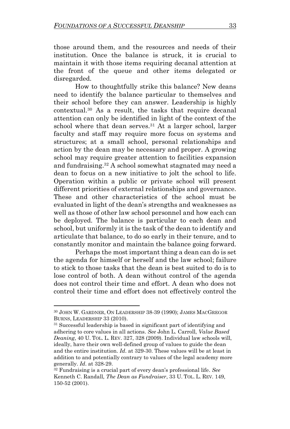those around them, and the resources and needs of their institution. Once the balance is struck, it is crucial to maintain it with those items requiring decanal attention at the front of the queue and other items delegated or disregarded.

<span id="page-7-0"></span>How to thoughtfully strike this balance? New deans need to identify the balance particular to themselves and their school before they can answer. Leadership is highly contextual.<sup>30</sup> As a result, the tasks that require decanal attention can only be identified in light of the context of the school where that dean serves.<sup>31</sup> At a larger school, larger faculty and staff may require more focus on systems and structures; at a small school, personal relationships and action by the dean may be necessary and proper. A growing school may require greater attention to facilities expansion and fundraising.<sup>32</sup> A school somewhat stagnated may need a dean to focus on a new initiative to jolt the school to life. Operation within a public or private school will present different priorities of external relationships and governance. These and other characteristics of the school must be evaluated in light of the dean's strengths and weaknesses as well as those of other law school personnel and how each can be deployed. The balance is particular to each dean and school, but uniformly it is the task of the dean to identify and articulate that balance, to do so early in their tenure, and to constantly monitor and maintain the balance going forward.

Perhaps the most important thing a dean can do is set the agenda for himself or herself and the law school; failure to stick to those tasks that the dean is best suited to do is to lose control of both. A dean without control of the agenda does not control their time and effort. A dean who does not control their time and effort does not effectively control the

<sup>30</sup> JOHN W. GARDNER, ON LEADERSHIP 38-39 (1990); JAMES MACGREGOR BURNS, LEADERSHIP 33 (2010).

<sup>31</sup> Successful leadership is based in significant part of identifying and adhering to core values in all actions. *See* John L. Carroll, *Value Based Deaning*, 40 U. TOL. L. REV. 327, 328 (2009). Individual law schools will, ideally, have their own well-defined group of values to guide the dean and the entire institution. *Id*. at 329-30. These values will be at least in addition to and potentially contrary to values of the legal academy more generally. *Id*. at 328-29.

<sup>32</sup> Fundraising is a crucial part of every dean's professional life. *See* Kenneth C. Randall, *The Dean as Fundraiser*, 33 U. TOL. L. REV. 149, 150-52 (2001).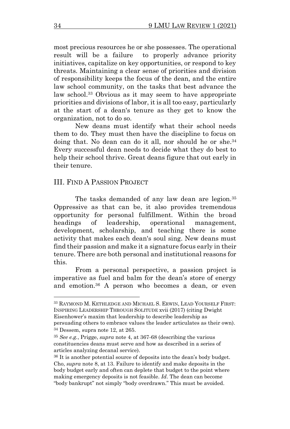most precious resources he or she possesses. The operational result will be a failure to properly advance priority initiatives, capitalize on key opportunities, or respond to key threats. Maintaining a clear sense of priorities and division of responsibility keeps the focus of the dean, and the entire law school community, on the tasks that best advance the law school.<sup>33</sup> Obvious as it may seem to have appropriate priorities and divisions of labor, it is all too easy, particularly at the start of a dean's tenure as they get to know the organization, not to do so.

New deans must identify what their school needs them to do. They must then have the discipline to focus on doing that. No dean can do it all, nor should he or she. 34 Every successful dean needs to decide what they do best to help their school thrive. Great deans figure that out early in their tenure.

#### III. FIND A PASSION PROJECT

The tasks demanded of any law dean are legion.<sup>35</sup> Oppressive as that can be, it also provides tremendous opportunity for personal fulfillment. Within the broad headings of leadership, operational management, development, scholarship, and teaching there is some activity that makes each dean's soul sing. New deans must find their passion and make it a signature focus early in their tenure. There are both personal and institutional reasons for this.

From a personal perspective, a passion project is imperative as fuel and balm for the dean's store of energy and emotion.<sup>36</sup> A person who becomes a dean, or even

<sup>33</sup> RAYMOND M. KETHLEDGE AND MICHAEL S. ERWIN, LEAD YOURSELF FIRST: INSPIRING LEADERSHIP THROUGH SOLITUDE xvii (2017) (citing Dwight Eisenhower's maxim that leadership to describe leadership as

persuading others to embrace values the leader articulates as their own). <sup>34</sup> Dessem, supra note 12, at 265.

<sup>35</sup> *See e.g.*, Prigge, *supra* note [4,](#page-1-0) at 367-68 (describing the various constituencies deans must serve and how as described in a series of articles analyzing decanal service).

<sup>36</sup> It is another potential source of deposits into the dean's body budget. Cho, *supra* not[e 8,](#page-2-1) a[t 13.](#page-3-0) Failure to identify and make deposits in the body budget early and often can deplete that budget to the point where making emergency deposits is not feasible. *Id*. The dean can become "body bankrupt" not simply "body overdrawn." This must be avoided.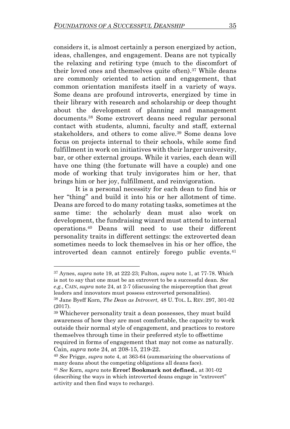considers it, is almost certainly a person energized by action, ideas, challenges, and engagement. Deans are not typically the relaxing and retiring type (much to the discomfort of their loved ones and themselves quite often).<sup>37</sup> While deans are commonly oriented to action and engagement, that common orientation manifests itself in a variety of ways. Some deans are profound introverts, energized by time in their library with research and scholarship or deep thought about the development of planning and management documents.<sup>38</sup> Some extrovert deans need regular personal contact with students, alumni, faculty and staff, external stakeholders, and others to come alive.<sup>39</sup> Some deans love focus on projects internal to their schools, while some find fulfillment in work on initiatives with their larger university, bar, or other external groups. While it varies, each dean will have one thing (the fortunate will have a couple) and one mode of working that truly invigorates him or her, that brings him or her joy, fulfillment, and reinvigoration.

It is a personal necessity for each dean to find his or her "thing" and build it into his or her allotment of time. Deans are forced to do many rotating tasks, sometimes at the same time: the scholarly dean must also work on development, the fundraising wizard must attend to internal operations. <sup>40</sup> Deans will need to use their different personality traits in different settings: the extroverted dean sometimes needs to lock themselves in his or her office, the introverted dean cannot entirely forego public events.<sup>41</sup>

<sup>37</sup> Aynes, *supra* note [19,](#page-4-0) at 222-23; Fulton, *supra* note [1,](#page-0-1) at 77-78. Which is not to say that one must be an extrovert to be a successful dean. *See e.g.*, CAIN, *supra* note [24,](#page-5-0) at 2-7 (discussing the misperception that great leaders and innovators must possess extroverted personalities).

<sup>38</sup> Jane Byeff Korn, *The Dean as Introvert,* 48 U. TOL. L. REV. 297, 301-02 (2017).

<sup>39</sup> Whichever personality trait a dean possesses, they must build awareness of how they are most comfortable, the capacity to work outside their normal style of engagement, and practices to restore themselves through time in their preferred style to offsettime required in forms of engagement that may not come as naturally. Cain, *supra* note 24, at 208-15, 219-22.

<sup>40</sup> *See* Prigge, *supra* note [4,](#page-1-0) at 363-64 (summarizing the observations of many deans about the competing obligations all deans face).

<sup>41</sup> *See* Korn, *supra* note **Error! Bookmark not defined.**, at 301-02 (describing the ways in which introverted deans engage in "extrovert" activity and then find ways to recharge).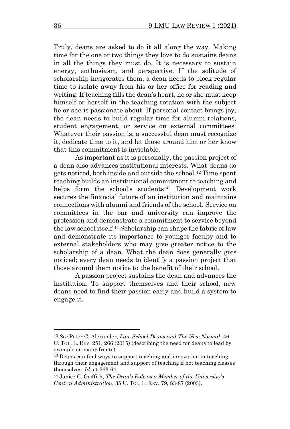Truly, deans are asked to do it all along the way. Making time for the one or two things they love to do sustains deans in all the things they must do. It is necessary to sustain energy, enthusiasm, and perspective. If the solitude of scholarship invigorates them, a dean needs to block regular time to isolate away from his or her office for reading and writing. If teaching fills the dean's heart, he or she must keep himself or herself in the teaching rotation with the subject he or she is passionate about. If personal contact brings joy, the dean needs to build regular time for alumni relations, student engagement, or service on external committees. Whatever their passion is, a successful dean must recognize it, dedicate time to it, and let those around him or her know that this commitment is inviolable.

As important as it is personally, the passion project of a dean also advances institutional interests. What deans do gets noticed, both inside and outside the school. <sup>42</sup> Time spent teaching builds an institutional commitment to teaching and helps form the school's students. <sup>43</sup> Development work secures the financial future of an institution and maintains connections with alumni and friends of the school. Service on committees in the bar and university can improve the profession and demonstrate a commitment to service beyond the law school itself.<sup>44</sup> Scholarship can shape the fabric of law and demonstrate its importance to younger faculty and to external stakeholders who may give greater notice to the scholarship of a dean. What the dean does generally gets noticed; every dean needs to identify a passion project that those around them notice to the benefit of their school.

A passion project sustains the dean and advances the institution. To support themselves and their school, new deans need to find their passion early and build a system to engage it.

<sup>42</sup> *See* Peter C. Alexander, *Law School Deans and The New Normal*, 46 U. TOL. L. REV. 251, 266 (2015) (describing the need for deans to lead by example on many fronts).

<sup>43</sup> Deans can find ways to support teaching and innovation in teaching through their engagement and support of teaching if not teaching classes themselves. *Id*. at 263-64.

<sup>44</sup> Janice C. Griffith, *The Dean's Role as a Member of the University's Central Administration*, 35 U. TOL. L. REV. 79, 83-87 (2003).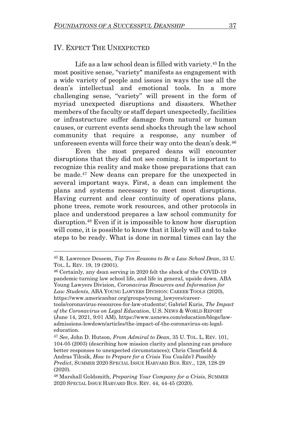#### IV. EXPECT THE UNEXPECTED

Life as a law school dean is filled with variety.<sup>45</sup> In the most positive sense, "variety" manifests as engagement with a wide variety of people and issues in ways the use all the dean's intellectual and emotional tools. In a more challenging sense, "variety" will present in the form of myriad unexpected disruptions and disasters. Whether members of the faculty or staff depart unexpectedly, facilities or infrastructure suffer damage from natural or human causes, or current events send shocks through the law school community that require a response, any number of unforeseen events will force their way onto the dean's desk.<sup>46</sup>

Even the most prepared deans will encounter disruptions that they did not see coming. It is important to recognize this reality and make those preparations that can be made. <sup>47</sup> New deans can prepare for the unexpected in several important ways. First, a dean can implement the plans and systems necessary to meet most disruptions. Having current and clear continuity of operations plans, phone trees, remote work resources, and other protocols in place and understood prepares a law school community for disruption.<sup>48</sup> Even if it is impossible to know how disruption will come, it is possible to know that it likely will and to take steps to be ready. What is done in normal times can lay the

<sup>46</sup> Certainly, any dean serving in 2020 felt the shock of the COVID-19 pandemic turning law school life, and life in general, upside down. ABA Young Lawyers Division, *Coronavirus Resources and Information for Law Students*, ABA YOUNG LAWYERS DIVISION: CAREER TOOLS (2020), [https://www.americanbar.org/groups/young\\_lawyers/career](https://www.americanbar.org/groups/young_lawyers/career-tools/coronavirus-resources-for-law-students/)[tools/coronavirus-resources-for-law-students/;](https://www.americanbar.org/groups/young_lawyers/career-tools/coronavirus-resources-for-law-students/) Gabriel Kuris, *The Impact of the Coronavirus on Legal Education*, U.S. NEWS & WORLD REPORT (June 14, 2021, 9:01 AM), https://www.usnews.com/education/blogs/lawadmissions-lowdown/articles/the-impact-of-the-coronavirus-on-legaleducation.

<sup>45</sup> R. Lawrence Dessem, *Top Ten Reasons to Be a Law School Dean*, 33 U. TOL. L. REV. 19, 19 (2001).

<sup>47</sup> *See*, John D. Hutson, *From Admiral to Dean*, 35 U. TOL. L. REV. 101, 104-05 (2003) (describing how mission clarity and planning can produce better responses to unexpected circumstances); Chris Clearfield & Andras Tilcsik, *How to Prepare for a Crisis You Couldn't Possibly Predict*, SUMMER 2020 SPECIAL ISSUE HARVARD BUS. REV., 128, 128-29 (2020).

<sup>48</sup> Marshall Goldsmith, *Preparing Your Company for a Crisis*, SUMMER 2020 SPECIAL ISSUE HARVARD BUS. REV. 44, 44-45 (2020).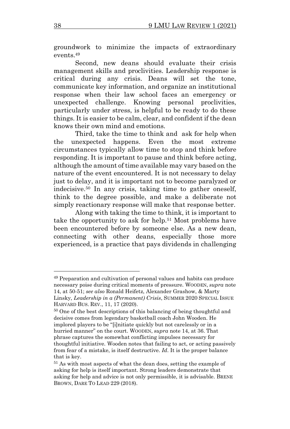groundwork to minimize the impacts of extraordinary events.<sup>49</sup>

Second, new deans should evaluate their crisis management skills and proclivities. Leadership response is critical during any crisis. Deans will set the tone, communicate key information, and organize an institutional response when their law school faces an emergency or unexpected challenge. Knowing personal proclivities, particularly under stress, is helpful to be ready to do these things. It is easier to be calm, clear, and confident if the dean knows their own mind and emotions.

Third, take the time to think and ask for help when the unexpected happens. Even the most extreme circumstances typically allow time to stop and think before responding. It is important to pause and think before acting, although the amount of time available may vary based on the nature of the event encountered. It is not necessary to delay just to delay, and it is important not to become paralyzed or indecisive.<sup>50</sup> In any crisis, taking time to gather oneself, think to the degree possible, and make a deliberate not simply reactionary response will make that response better.

Along with taking the time to think, it is important to take the opportunity to ask for help.<sup>51</sup> Most problems have been encountered before by someone else. As a new dean, connecting with other deans, especially those more experienced, is a practice that pays dividends in challenging

<sup>49</sup> Preparation and cultivation of personal values and habits can produce necessary poise during critical moments of pressure. WOODEN, *supra* note [14,](#page-3-2) at 50-51; *see also* Ronald Heifetz, Alexander Grashow, & Marty Linsky, *Leadership in a (Permanent) Crisis*, SUMMER 2020 SPECIAL ISSUE HARVARD BUS. REV., 11, 17 (2020).

<sup>&</sup>lt;sup>50</sup> One of the best descriptions of this balancing of being thoughtful and decisive comes from legendary basketball coach John Wooden. He implored players to be "[i]nitiate quickly but not carelessly or in a hurried manner" on the court. WOODEN, *supra* not[e 14,](#page-3-2) at 36. That phrase captures the somewhat conflicting impulses necessary for thoughtful initiative. Wooden notes that failing to act, or acting passively from fear of a mistake, is itself destructive. *Id*. It is the proper balance that is key.

<sup>51</sup> As with most aspects of what the dean does, setting the example of asking for help is itself important. Strong leaders demonstrate that asking for help and advice is not only permissible, it is advisable. BRENE BROWN, DARE TO LEAD 229 (2018).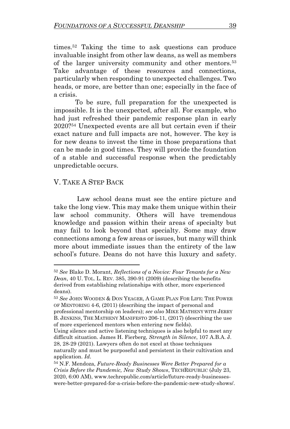times.<sup>52</sup> Taking the time to ask questions can produce invaluable insight from other law deans, as well as members of the larger university community and other mentors.<sup>53</sup> Take advantage of these resources and connections, particularly when responding to unexpected challenges. Two heads, or more, are better than one; especially in the face of a crisis.

To be sure, full preparation for the unexpected is impossible. It is the unexpected, after all. For example, who had just refreshed their pandemic response plan in early 2020? <sup>54</sup> Unexpected events are all but certain even if their exact nature and full impacts are not, however. The key is for new deans to invest the time in those preparations that can be made in good times. They will provide the foundation of a stable and successful response when the predictably unpredictable occurs.

### V. TAKE A STEP BACK

Law school deans must see the entire picture and take the long view. This may make them unique within their law school community. Others will have tremendous knowledge and passion within their areas of specialty but may fail to look beyond that specialty. Some may draw connections among a few areas or issues, but many will think more about immediate issues than the entirety of the law school's future. Deans do not have this luxury and safety.

<sup>52</sup> *See* Blake D. Morant, *Reflections of a Novice: Four Tenants for a New Dean*, 40 U. TOL. L. REV. 385, 390-91 (2009) (describing the benefits derived from establishing relationships with other, more experienced deans).

<sup>53</sup> *See* JOHN WOODEN & DON YEAGER, A GAME PLAN FOR LIFE: THE POWER OF MENTORING 4-6, (2011) (describing the impact of personal and professional mentorship on leaders); *see also* MIKE MATHENY WITH JERRY B. JENKINS, THE MATHENY MANIFESTO 206-11, (2017) (describing the use of more experienced mentors when entering new fields).

Using silence and active listening techniques is also helpful to meet any difficult situation. James H. Fierberg, *Strength in Silence*, 107 A.B.A. J. 28, 28-29 (2021). Lawyers often do not excel at those techniques naturally and must be purposeful and persistent in their cultivation and

application. *Id*.

<sup>54</sup> N.F. Mendoza, *Future-Ready Businesses Were Better Prepared for a Crisis Before the Pandemic, New Study Shows*, TECHREPUBLIC (July 23, 2020, 6:00 AM), [www.techrepublic.com/article/future-ready-businesses](http://www.techrepublic.com/article/future-ready-businesses-were-better-prepared-for-a-crisis-before-the-pandemic-new-study-shows/)[were-better-prepared-for-a-crisis-before-the-pandemic-new-study-shows/.](http://www.techrepublic.com/article/future-ready-businesses-were-better-prepared-for-a-crisis-before-the-pandemic-new-study-shows/)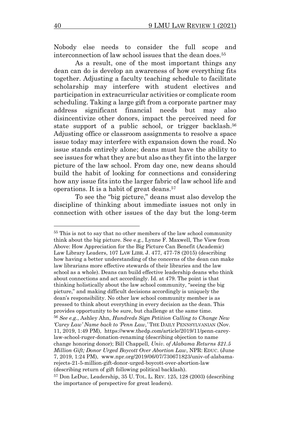Nobody else needs to consider the full scope and interconnection of law school issues that the dean does.<sup>55</sup>

As a result, one of the most important things any dean can do is develop an awareness of how everything fits together. Adjusting a faculty teaching schedule to facilitate scholarship may interfere with student electives and participation in extracurricular activities or complicate room scheduling. Taking a large gift from a corporate partner may address significant financial needs but may also disincentivize other donors, impact the perceived need for state support of a public school, or trigger backlash.<sup>56</sup> Adjusting office or classroom assignments to resolve a space issue today may interfere with expansion down the road. No issue stands entirely alone; deans must have the ability to see issues for what they are but also as they fit into the larger picture of the law school. From day one, new deans should build the habit of looking for connections and considering how any issue fits into the larger fabric of law school life and operations. It is a habit of great deans.<sup>57</sup>

To see the "big picture," deans must also develop the discipline of thinking about immediate issues not only in connection with other issues of the day but the long-term

<sup>55</sup> This is not to say that no other members of the law school community think about the big picture. See e.g., Lynne F. Maxwell, The View from Above: How Appreciation for the Big Picture Can Benefit (Academic) Law Library Leaders, 107 LAW LIBR. J. 477, 477-78 (2015) (describing how having a better understanding of the concerns of the dean can make law librarians more effective stewards of their libraries and the law school as a whole). Deans can build effective leadership deans who think about connections and act accordingly. Id. at 479. The point is that thinking holistically about the law school community, "seeing the big picture," and making difficult decisions accordingly is uniquely the dean's responsibility. No other law school community member is as pressed to think about everything in every decision as the dean. This provides opportunity to be sure, but challenge at the same time. <sup>56</sup> *See e.g.*, Ashley Ahn, *Hundreds Sign Petition Calling to Change New 'Carey Law' Name back to 'Penn Law,'* THE DAILY PENNSYLVANIAN (Nov. 11, 2019, 1:49 PM), [https://www.thedp.com/article/2019/11/penn-carey](https://www.thedp.com/article/2019/11/penn-carey-law-school-ruger-donation-renaming)[law-school-ruger-donation-renaming](https://www.thedp.com/article/2019/11/penn-carey-law-school-ruger-donation-renaming) (describing objection to name change honoring donor); Bill Chappell, *Univ. of Alabama Returns \$21.5 Million Gift; Donor Urged Boycott Over Abortion Law*, NPR: EDUC. (June 7, 2019, 1:24 PM), [www.npr.org/2019/06/07/730671823/univ-of-alabama](http://www.npr.org/2019/06/07/730671823/univ-of-alabama-rejects-21-5-million-gift-donor-urged-boycott-over-abortion-law)[rejects-21-5-million-gift-donor-urged-boycott-over-abortion-law](http://www.npr.org/2019/06/07/730671823/univ-of-alabama-rejects-21-5-million-gift-donor-urged-boycott-over-abortion-law) (describing return of gift following political backlash).

<sup>57</sup> Don LeDuc, Leadership, 35 U. TOL. L. REV. 125, 128 (2003) (describing the importance of perspective for great leaders).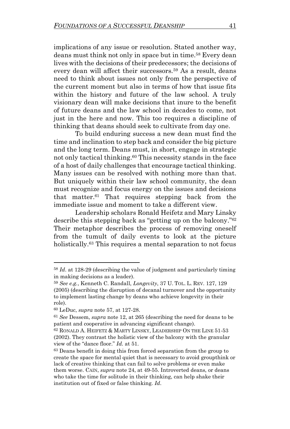implications of any issue or resolution. Stated another way, deans must think not only in space but in time.<sup>58</sup> Every dean lives with the decisions of their predecessors; the decisions of every dean will affect their successors.<sup>59</sup> As a result, deans need to think about issues not only from the perspective of the current moment but also in terms of how that issue fits within the history and future of the law school. A truly visionary dean will make decisions that inure to the benefit of future deans and the law school in decades to come, not just in the here and now. This too requires a discipline of thinking that deans should seek to cultivate from day one.

To build enduring success a new dean must find the time and inclination to step back and consider the big picture and the long term. Deans must, in short, engage in strategic not only tactical thinking.<sup>60</sup> This necessity stands in the face of a host of daily challenges that encourage tactical thinking. Many issues can be resolved with nothing more than that. But uniquely within their law school community, the dean must recognize and focus energy on the issues and decisions that matter.<sup>61</sup> That requires stepping back from the immediate issue and moment to take a different view.

Leadership scholars Ronald Heifetz and Mary Linsky describe this stepping back as "getting up on the balcony." 62 Their metaphor describes the process of removing oneself from the tumult of daily events to look at the picture holistically.<sup>63</sup> This requires a mental separation to not focus

<sup>58</sup> *Id*. at 128-29 (describing the value of judgment and particularly timing in making decisions as a leader).

<sup>59</sup> *See e.g.*, Kenneth C. Randall, *Longevity*, 37 U. TOL. L. REV. 127, 129 (2005) (describing the disruption of decanal turnover and the opportunity to implement lasting change by deans who achieve longevity in their role).

<sup>60</sup> LeDuc, *supra* note 57, at 127-28.

<sup>61</sup> *See* Dessem, *supra* not[e 12,](#page-2-3) at 265 (describing the need for deans to be patient and cooperative in advancing significant change).

<sup>62</sup> RONALD A. HEIFETZ & MARTY LINSKY, LEADERSHIP ON THE LINE 51-53 (2002). They contrast the holistic view of the balcony with the granular view of the "dance floor." *Id.* at 51.

<sup>63</sup> Deans benefit in doing this from forced separation from the group to create the space for mental quiet that is necessary to avoid groupthink or lack of creative thinking that can fail to solve problems or even make them worse. CAIN, *supra* note [24,](#page-5-0) at 49-55. Introverted deans, or deans who take the time for solitude in their thinking, can help shake their institution out of fixed or false thinking. *Id*.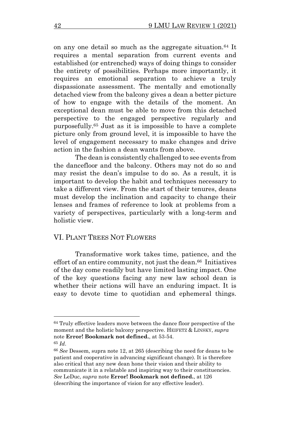on any one detail so much as the aggregate situation.<sup>64</sup> It requires a mental separation from current events and established (or entrenched) ways of doing things to consider the entirety of possibilities. Perhaps more importantly, it requires an emotional separation to achieve a truly dispassionate assessment. The mentally and emotionally detached view from the balcony gives a dean a better picture of how to engage with the details of the moment. An exceptional dean must be able to move from this detached perspective to the engaged perspective regularly and purposefully. <sup>65</sup> Just as it is impossible to have a complete picture only from ground level, it is impossible to have the level of engagement necessary to make changes and drive action in the fashion a dean wants from above.

The dean is consistently challenged to see events from the dancefloor and the balcony. Others may not do so and may resist the dean's impulse to do so. As a result, it is important to develop the habit and techniques necessary to take a different view. From the start of their tenures, deans must develop the inclination and capacity to change their lenses and frames of reference to look at problems from a variety of perspectives, particularly with a long-term and holistic view.

#### VI. PLANT TREES NOT FLOWERS

Transformative work takes time, patience, and the effort of an entire community, not just the dean. <sup>66</sup> Initiatives of the day come readily but have limited lasting impact. One of the key questions facing any new law school dean is whether their actions will have an enduring impact. It is easy to devote time to quotidian and ephemeral things.

<sup>65</sup> *Id*.

<sup>64</sup> Truly effective leaders move between the dance floor perspective of the moment and the holistic balcony perspective. HEIFETZ & LINSKY, *supra* note **Error! Bookmark not defined.**, at 53-54.

<sup>66</sup> *See* Dessem, supra not[e 12,](#page-2-3) at 265 (describing the need for deans to be patient and cooperative in advancing significant change). It is therefore also critical that any new dean hone their vision and their ability to communicate it in a relatable and inspiring way to their constituencies. *See* LeDuc, *supra* note **Error! Bookmark not defined.**, at 126 (describing the importance of vision for any effective leader).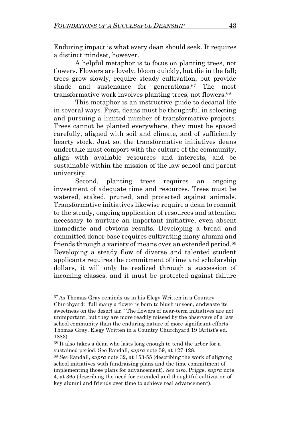Enduring impact is what every dean should seek. It requires a distinct mindset, however.

A helpful metaphor is to focus on planting trees, not flowers. Flowers are lovely, bloom quickly, but die in the fall; trees grow slowly, require steady cultivation, but provide shade and sustenance for generations.<sup>67</sup> The most transformative work involves planting trees, not flowers.<sup>68</sup>

This metaphor is an instructive guide to decanal life in several ways. First, deans must be thoughtful in selecting and pursuing a limited number of transformative projects. Trees cannot be planted everywhere, they must be spaced carefully, aligned with soil and climate, and of sufficiently hearty stock. Just so, the transformative initiatives deans undertake must comport with the culture of the community, align with available resources and interests, and be sustainable within the mission of the law school and parent university.

Second, planting trees requires an ongoing investment of adequate time and resources. Trees must be watered, staked, pruned, and protected against animals. Transformative initiatives likewise require a dean to commit to the steady, ongoing application of resources and attention necessary to nurture an important initiative, even absent immediate and obvious results. Developing a broad and committed donor base requires cultivating many alumni and friends through a variety of means over an extended period.<sup>68</sup> Developing a steady flow of diverse and talented student applicants requires the commitment of time and scholarship dollars, it will only be realized through a succession of incoming classes, and it must be protected against failure

<sup>67</sup>As Thomas Gray reminds us in his Elegy Written in a Country Churchyard: "full many a flower is born to blush unseen, andwaste its sweetness on the desert air." The flowers of near-term initiatives are not unimportant, but they are more readily missed by the observers of a law school community than the enduring nature of more significant efforts. Thomas Gray, Elegy Written in a Country Churchyard 19 (Artist's ed. 1883).

<sup>68</sup> It also takes a dean who lasts long enough to tend the arbor for a sustained period. See Randall, *supra* note 59, at 127-128.

<sup>69</sup> *See* Randall, *supra* note [32,](#page-7-0) at 153-55 (describing the work of aligning school initiatives with fundraising plans and the time commitment of implementing those plans for advancement). *See also*, Prigge, *supra* note [4,](#page-1-0) at 365 (describing the need for extended and thoughtful cultivation of key alumni and friends over time to achieve real advancement).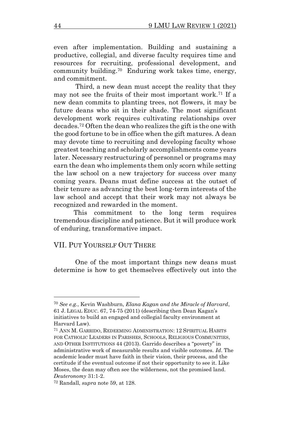even after implementation. Building and sustaining a productive, collegial, and diverse faculty requires time and resources for recruiting, professional development, and community building.<sup>70</sup> Enduring work takes time, energy, and commitment.

 Third, a new dean must accept the reality that they may not see the fruits of their most important work.<sup>71</sup> If a new dean commits to planting trees, not flowers, it may be future deans who sit in their shade. The most significant development work requires cultivating relationships over decades.<sup>72</sup> Often the dean who realizes the gift is the one with the good fortune to be in office when the gift matures. A dean may devote time to recruiting and developing faculty whose greatest teaching and scholarly accomplishments come years later. Necessary restructuring of personnel or programs may earn the dean who implements them only scorn while setting the law school on a new trajectory for success over many coming years. Deans must define success at the outset of their tenure as advancing the best long-term interests of the law school and accept that their work may not always be recognized and rewarded in the moment.

 This commitment to the long term requires tremendous discipline and patience. But it will produce work of enduring, transformative impact.

### VII. PUT YOURSELF OUT THERE

One of the most important things new deans must determine is how to get themselves effectively out into the

<sup>70</sup> *See e.g.*, Kevin Washburn, *Elana Kagan and the Miracle of Harvard*, 61 J. LEGAL EDUC. 67, 74-75 (2011) (describing then Dean Kagan's initiatives to build an engaged and collegial faculty environment at Harvard Law).

<sup>71</sup> ANN M. GARRIDO, REDEEMING ADMINISTRATION: 12 SPIRITUAL HABITS FOR CATHOLIC LEADERS IN PARISHES, SCHOOLS, RELIGIOUS COMMUNITIES, AND OTHER INSTITUTIONS 44 (2013). Garrido describes a "poverty" in administrative work of measurable results and visible outcomes. *Id*. The academic leader must have faith in their vision, their process, and the certitude if the eventual outcome if not their opportunity to see it. Like Moses, the dean may often see the wilderness, not the promised land. *Deuteronomy* 31:1-2.

<sup>72</sup> Randall, *supra* note 59, at 128.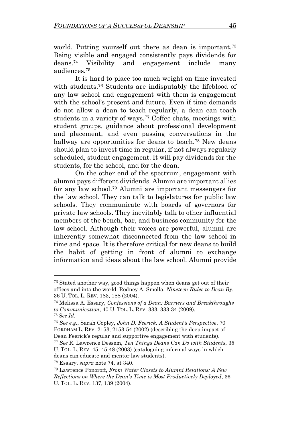world. Putting yourself out there as dean is important.<sup>73</sup> Being visible and engaged consistently pays dividends for deans.<sup>74</sup> Visibility and engagement include many audiences.<sup>75</sup>

It is hard to place too much weight on time invested with students.<sup>76</sup> Students are indisputably the lifeblood of any law school and engagement with them is engagement with the school's present and future. Even if time demands do not allow a dean to teach regularly, a dean can teach students in a variety of ways.<sup>77</sup> Coffee chats, meetings with student groups, guidance about professional development and placement, and even passing conversations in the hallway are opportunities for deans to teach.<sup>78</sup> New deans should plan to invest time in regular, if not always regularly scheduled, student engagement. It will pay dividends for the students, for the school, and for the dean.

On the other end of the spectrum, engagement with alumni pays different dividends. Alumni are important allies for any law school.<sup>79</sup> Alumni are important messengers for the law school. They can talk to legislatures for public law schools. They communicate with boards of governors for private law schools. They inevitably talk to other influential members of the bench, bar, and business community for the law school. Although their voices are powerful, alumni are inherently somewhat disconnected from the law school in time and space. It is therefore critical for new deans to build the habit of getting in front of alumni to exchange information and ideas about the law school. Alumni provide

<sup>73</sup> Stated another way, good things happen when deans get out of their offices and into the world. Rodney A. Smolla, *Nineteen Rules to Dean By*, 36 U. TOL. L. REV. 183, 188 (2004).

<sup>74</sup> Melissa A. Essary, *Confessions of a Dean: Barriers and Breakthroughs to Communication*, 40 U. TOL. L. REV. 333, 333-34 (2009). <sup>75</sup> *See Id*.

<sup>76</sup> *See e.g.*, Sarah Copley, *John D. Feerick, A Student's Perspective*, 70 FORDHAM L. REV. 2153, 2153-54 (2002) (describing the deep impact of Dean Feerick's regular and supportive engagement with students).

<sup>77</sup> *See* R. Lawrence Dessem, *Ten Things Deans Can Do with Students*, 35 U. TOL. L. REV. 45, 45-48 (2003) (cataloguing informal ways in which deans can educate and mentor law students).

<sup>78</sup> Essary, *supra* note 74, at 340.

<sup>79</sup> Lawrence Ponoroff, *From Water Closets to Alumni Relations: A Few Reflections on Where the Dean's Time is Most Productively Deployed*, 36 U. TOL. L. REV. 137, 139 (2004).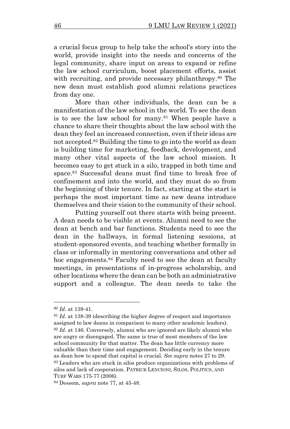a crucial focus group to help take the school's story into the world, provide insight into the needs and concerns of the legal community, share input on areas to expand or refine the law school curriculum, boost placement efforts, assist with recruiting, and provide necessary philanthropy.<sup>80</sup> The new dean must establish good alumni relations practices from day one.

More than other individuals, the dean can be a manifestation of the law school in the world. To see the dean is to see the law school for many.<sup>81</sup> When people have a chance to share their thoughts about the law school with the dean they feel an increased connection, even if their ideas are not accepted. <sup>82</sup> Building the time to go into the world as dean is building time for marketing, feedback, development, and many other vital aspects of the law school mission. It becomes easy to get stuck in a silo, trapped in both time and space. <sup>83</sup> Successful deans must find time to break free of confinement and into the world, and they must do so from the beginning of their tenure. In fact, starting at the start is perhaps the most important time as new deans introduce themselves and their vision to the community of their school.

Putting yourself out there starts with being present. A dean needs to be visible at events. Alumni need to see the dean at bench and bar functions. Students need to see the dean in the hallways, in formal listening sessions, at student-sponsored events, and teaching whether formally in class or informally in mentoring conversations and other ad hoc engagements.<sup>84</sup> Faculty need to see the dean at faculty meetings, in presentations of in-progress scholarship, and other locations where the dean can be both an administrative support and a colleague. The dean needs to take the

<sup>80</sup> *Id*. at 139-41.

<sup>81</sup> *Id*. at 138-39 (describing the higher degree of respect and importance assigned to law deans in comparison to many other academic leaders). <sup>82</sup> *Id*. at 146. Conversely, alumni who are ignored are likely alumni who are angry or disengaged. The same is true of most members of the law school community for that matter. The dean has little currency more valuable than their time and engagement. Deciding early in the tenure

as dean how to spend that capital is crucial. *See supra* note[s 27](#page-6-0) to [29.](#page-6-1)  <sup>83</sup> Leaders who are stuck in silos produce organizations with problems of silos and lack of cooperation. PATRICK LENCIONI, SILOS, POLITICS, AND TURF WARS 175-77 (2006).

<sup>84</sup> Dessem, *supra* note 77, at 45-48.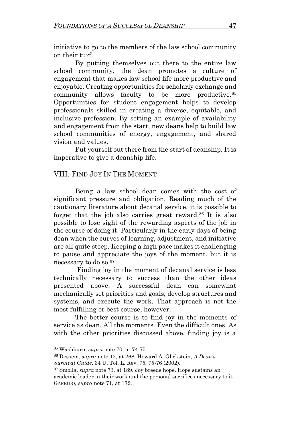initiative to go to the members of the law school community on their turf.

By putting themselves out there to the entire law school community, the dean promotes a culture of engagement that makes law school life more productive and enjoyable. Creating opportunities for scholarly exchange and community allows faculty to be more productive.<sup>85</sup> Opportunities for student engagement helps to develop professionals skilled in creating a diverse, equitable, and inclusive profession. By setting an example of availability and engagement from the start, new deans help to build law school communities of energy, engagement, and shared vision and values.

Put yourself out there from the start of deanship. It is imperative to give a deanship life.

# VIII. FIND JOY IN THE MOMENT

Being a law school dean comes with the cost of significant pressure and obligation. Reading much of the cautionary literature about decanal service, it is possible to forget that the job also carries great reward.<sup>86</sup> It is also possible to lose sight of the rewarding aspects of the job in the course of doing it. Particularly in the early days of being dean when the curves of learning, adjustment, and initiative are all quite steep. Keeping a high pace makes it challenging to pause and appreciate the joys of the moment, but it is necessary to do so. 87

Finding joy in the moment of decanal service is less technically necessary to success than the other ideas presented above. A successful dean can somewhat mechanically set priorities and goals, develop structures and systems, and execute the work. That approach is not the most fulfilling or best course, however.

The better course is to find joy in the moments of service as dean. All the moments. Even the difficult ones. As with the other priorities discussed above, finding joy is a

<sup>85</sup> Washburn, *supra* note 70, at 74-75.

<sup>86</sup> Dessem, *supra* note [12,](#page-2-3) at 268; Howard A. Glickstein, *A Dean's Survival Guide*, 34 U. Tol. L. Rev. 75, 75-76 (2002).

<sup>87</sup> Smolla, *supra* note 73, at 189. Joy breeds hope. Hope sustains an academic leader in their work and the personal sacrifices necessary to it. GARRIDO, *supra* note 71, at 172.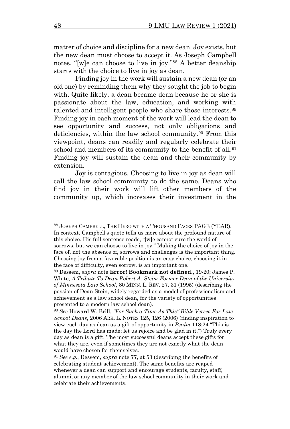matter of choice and discipline for a new dean. Joy exists, but the new dean must choose to accept it. As Joseph Campbell notes, "[w]e can choose to live in joy." <sup>88</sup> A better deanship starts with the choice to live in joy as dean.

Finding joy in the work will sustain a new dean (or an old one) by reminding them why they sought the job to begin with. Quite likely, a dean became dean because he or she is passionate about the law, education, and working with talented and intelligent people who share those interests.<sup>89</sup> Finding joy in each moment of the work will lead the dean to see opportunity and success, not only obligations and deficiencies, within the law school community.<sup>90</sup> From this viewpoint, deans can readily and regularly celebrate their school and members of its community to the benefit of all.<sup>91</sup> Finding joy will sustain the dean and their community by extension.

Joy is contagious. Choosing to live in joy as dean will call the law school community to do the same. Deans who find joy in their work will lift other members of the community up, which increases their investment in the

<sup>88</sup> JOSEPH CAMPBELL, THE HERO WITH A THOUSAND FACES PAGE (YEAR). In context, Campbell's quote tells us more about the profound nature of this choice. His full sentence reads, "[w]e cannot cure the world of sorrows, but we can choose to live in joy." Making the choice of joy in the face of, not the absence of, sorrows and challenges is the important thing. Choosing joy from a favorable position is an easy choice, choosing it in the face of difficulty, even sorrow, is an important one.

<sup>89</sup> Dessem, *supra* note **Error! Bookmark not defined.**, 19-20; James P. White, *A Tribute To Dean Robert A. Stein: Former Dean of the University of Minnesota Law School*, 80 MINN. L. REV. 27, 31 (1995) (describing the passion of Dean Stein, widely regarded as a model of professionalism and achievement as a law school dean, for the variety of opportunities presented to a modern law school dean).

<sup>90</sup> *See* Howard W. Brill, *"For Such a Time As This" Bible Verses For Law School Deans*, 2006 ARK. L. NOTES 125, 126 (2006) (finding inspiration to view each day as dean as a gift of opportunity in *Psalm* 118:24 "This is the day the Lord has made; let us rejoice and be glad in it.") Truly every day as dean is a gift. The most successful deans accept these gifts for what they are, even if sometimes they are not exactly what the dean would have chosen for themselves.

<sup>91</sup> *See e.g.*, Dessem, *supra* note 77, at 53 (describing the benefits of celebrating student achievement). The same benefits are reaped whenever a dean can support and encourage students, faculty, staff, alumni, or any member of the law school community in their work and celebrate their achievements.